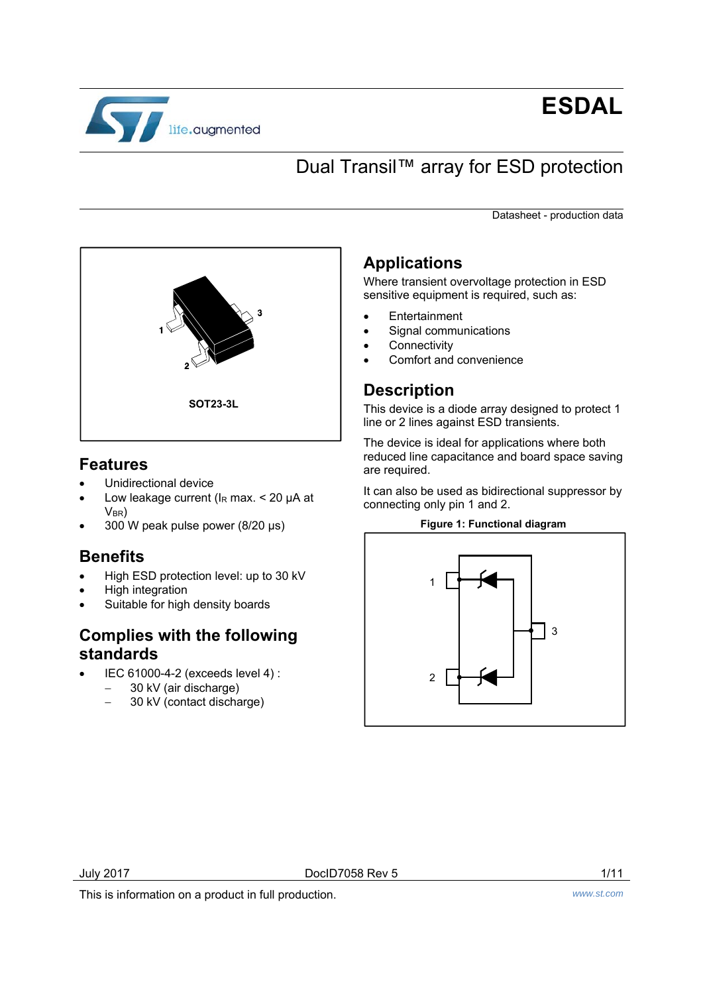

# **ESDAL**

## Dual Transil™ array for ESD protection

Datasheet - production data



### **Features**

- Unidirectional device
- Low leakage current ( $I<sub>R</sub>$  max. < 20  $\mu$ A at  $V<sub>BR</sub>$
- 300 W peak pulse power (8/20 µs)

### **Benefits**

- High ESD protection level: up to 30 kV
- High integration
- Suitable for high density boards

### **Complies with the following standards**

- IEC 61000-4-2 (exceeds level 4) :
	- 30 kV (air discharge)
	- 30 kV (contact discharge)

### **Applications**

Where transient overvoltage protection in ESD sensitive equipment is required, such as:

- Entertainment
- Signal communications
	- **Connectivity**
	- Comfort and convenience

### **Description**

This device is a diode array designed to protect 1 line or 2 lines against ESD transients.

The device is ideal for applications where both reduced line capacitance and board space saving are required.

It can also be used as bidirectional suppressor by connecting only pin 1 and 2.

#### **Figure 1: Functional diagram**



July 2017 DocID7058 Rev 5 1/11

This is information on a product in full production. *www.st.com*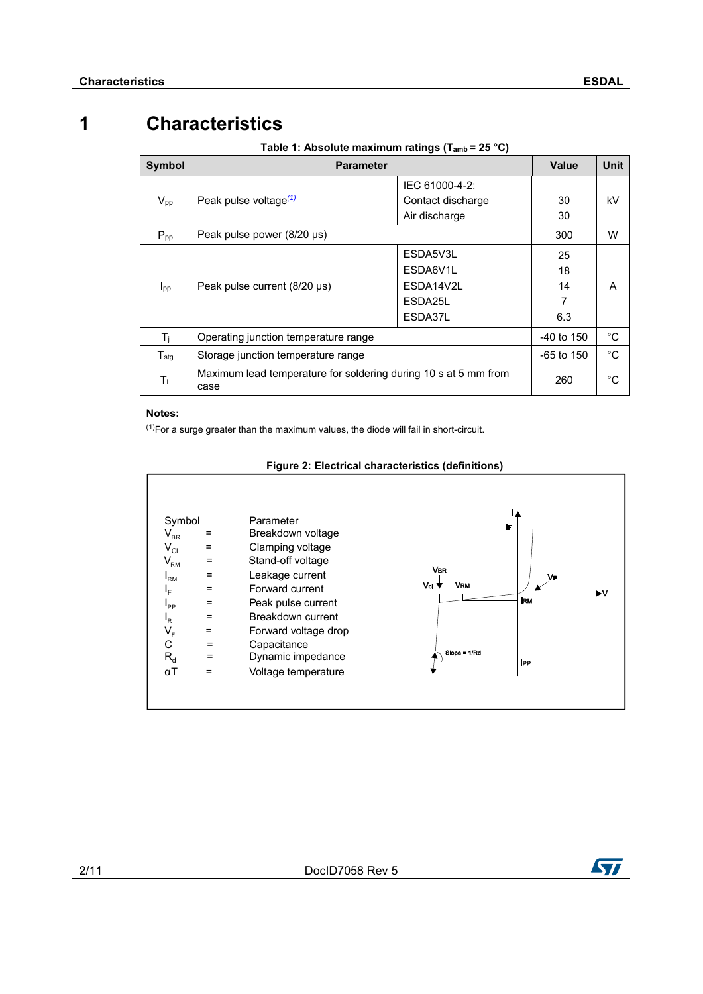## **1 Characteristics**

|  |  | Table 1: Absolute maximum ratings ( $T_{amb} = 25 °C$ ) |
|--|--|---------------------------------------------------------|
|  |  |                                                         |

| Symbol           | <b>Parameter</b>                                                               | Value             | <b>Unit</b> |    |
|------------------|--------------------------------------------------------------------------------|-------------------|-------------|----|
|                  |                                                                                | IEC 61000-4-2:    |             |    |
| $V_{pp}$         | Peak pulse voltage $(1)$                                                       | Contact discharge | 30          | kV |
|                  |                                                                                | Air discharge     | 30          |    |
| $P_{\text{pp}}$  | Peak pulse power (8/20 µs)                                                     | 300               | W           |    |
|                  | Peak pulse current $(8/20 \,\mu s)$                                            | ESDA5V3L          | 25          |    |
|                  |                                                                                | ESDA6V1L          | 18          |    |
| I <sub>pp</sub>  |                                                                                | FSDA14V2L         | 14          | А  |
|                  |                                                                                | ESDA25L           |             |    |
|                  |                                                                                | ESDA37L           | 6.3         |    |
| $T_i$            | Operating junction temperature range                                           | $-40$ to 150      | °C          |    |
| $T_{\text{stg}}$ | $-65$ to 150<br>Storage junction temperature range                             |                   |             |    |
| Τı               | Maximum lead temperature for soldering during 10 s at 5 mm from<br>260<br>case |                   |             |    |

#### **Notes:**

 $(1)$ For a surge greater than the maximum values, the diode will fail in short-circuit.

| Symbol                     |     | Parameter            |                  | IF         |
|----------------------------|-----|----------------------|------------------|------------|
| $\mathsf{V}_{\mathsf{BR}}$ | =   | Breakdown voltage    |                  |            |
| $V_{CL}$                   | =   | Clamping voltage     |                  |            |
| $V_{\rm RM}$               | $=$ | Stand-off voltage    |                  |            |
| $I_{\rm RM}$               | $=$ | Leakage current      | <b>VBR</b>       | VF         |
| ΙF                         | $=$ | Forward current      | <b>VRM</b><br>Va | .v         |
| $I_{PP}$                   | =   | Peak pulse current   |                  | <b>IRM</b> |
| ı <sub>R</sub>             | $=$ | Breakdown current    |                  |            |
| $\mathsf{V}_\mathsf{F}$    | $=$ | Forward voltage drop |                  |            |
| С                          | $=$ | Capacitance          |                  |            |
| $R_d$                      | =   | Dynamic impedance    | Slope = 1/Rd     | <b>IPP</b> |
| $\alpha$ T                 | $=$ | Voltage temperature  |                  |            |

#### **Figure 2: Electrical characteristics (definitions)**

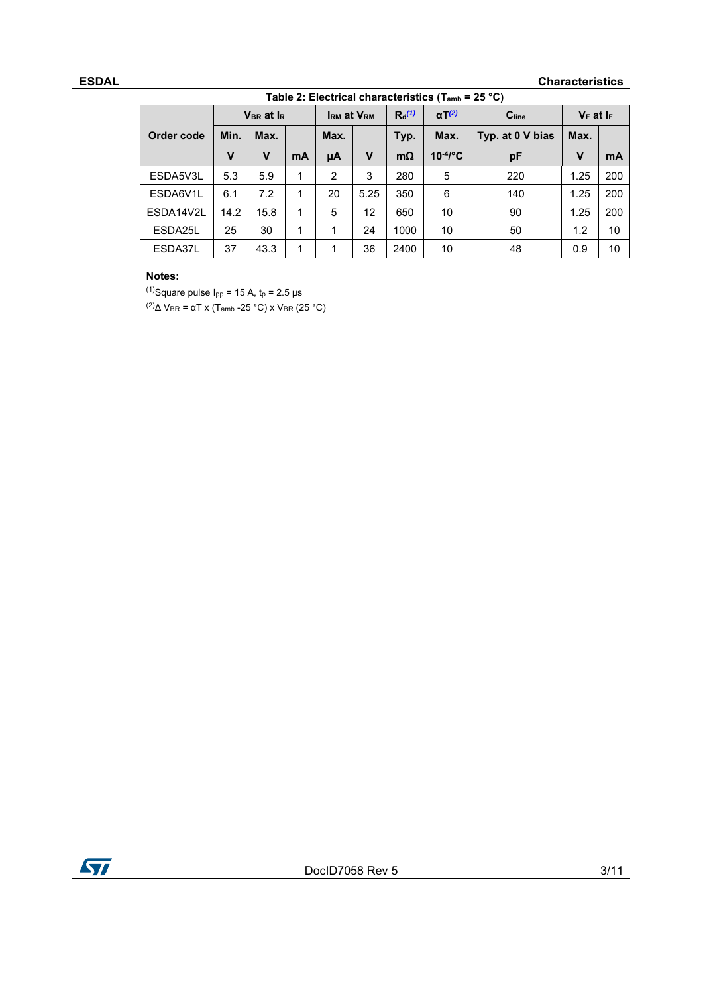#### **ESDAL** Characteristics

| Table 2: Electrical characteristics ( $T_{amb}$ = 25 °C) |      |                                   |    |                   |              |          |                         |                   |                |     |
|----------------------------------------------------------|------|-----------------------------------|----|-------------------|--------------|----------|-------------------------|-------------------|----------------|-----|
|                                                          |      | V <sub>BR</sub> at I <sub>R</sub> |    | <b>IRM at VRM</b> |              | $R_0(1)$ | $\alpha T^{(2)}$        | C <sub>line</sub> | $V_F$ at $I_F$ |     |
| Order code                                               | Min. | Max.                              |    | Max.              |              | Typ.     | Max.                    | Typ. at 0 V bias  | Max.           |     |
|                                                          | v    | v                                 | mA | μA                | $\mathsf{v}$ | mΩ       | $10^{4}$ <sup>e</sup> C | рF                | V              | mA  |
| ESDA5V3L                                                 | 5.3  | 5.9                               | 1  | 2                 | 3            | 280      | 5                       | 220               | 1.25           | 200 |
| ESDA6V1L                                                 | 6.1  | 7.2                               | 1  | 20                | 5.25         | 350      | 6                       | 140               | 1.25           | 200 |
| ESDA14V2L                                                | 14.2 | 15.8                              | 1  | 5                 | 12           | 650      | 10                      | 90                | 1.25           | 200 |
| ESDA25L                                                  | 25   | 30                                | 1  | 1                 | 24           | 1000     | 10                      | 50                | 1.2            | 10  |
| ESDA37L                                                  | 37   | 43.3                              | 1  | 1                 | 36           | 2400     | 10                      | 48                | 0.9            | 10  |

#### **Notes:**

(1)Square pulse  $I_{pp}$  = 15 A,  $t_p$  = 2.5 µs (2)∆ VBR = αT x (Tamb -25 °C) x VBR (25 °C)

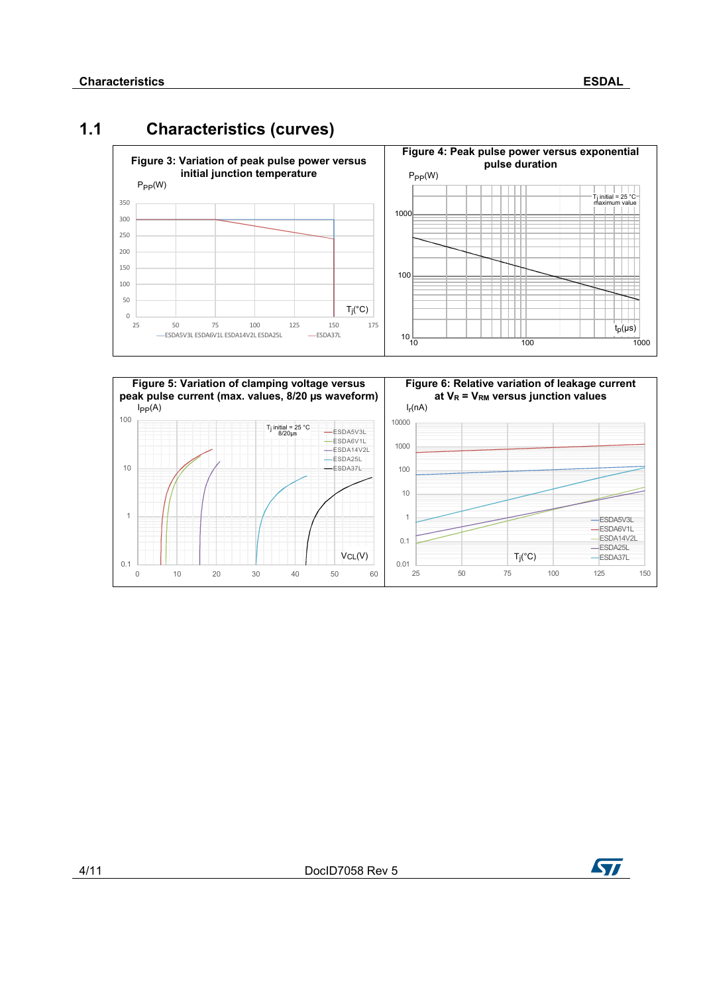### **1.1 Characteristics (curves)**





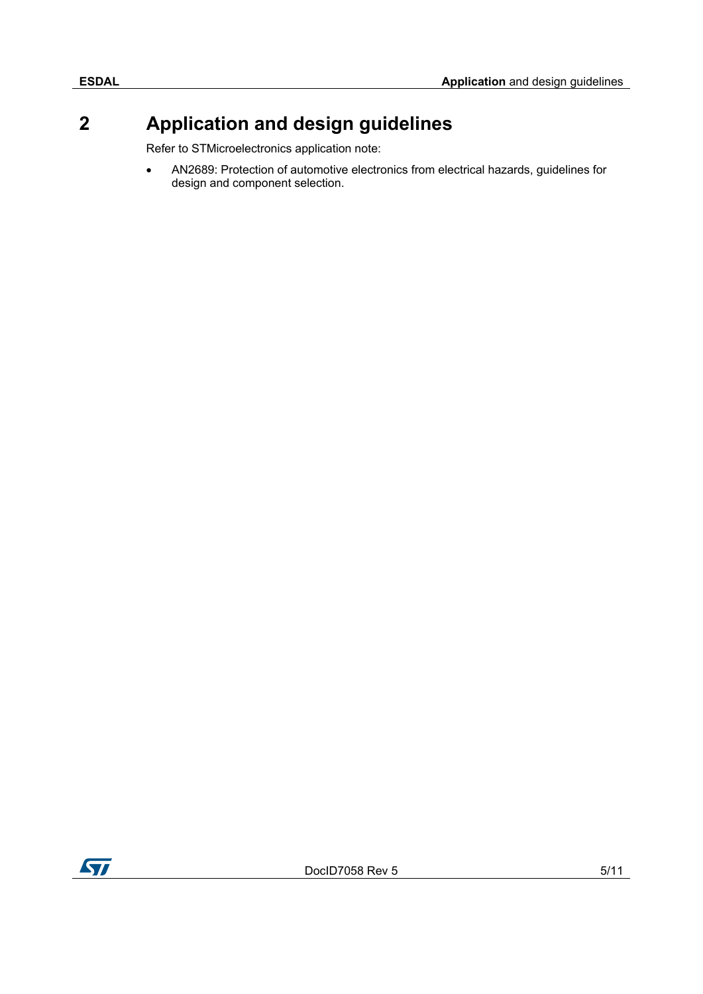## **2 Application and design guidelines**

Refer to STMicroelectronics application note:

 AN2689: Protection of automotive electronics from electrical hazards, guidelines for design and component selection.

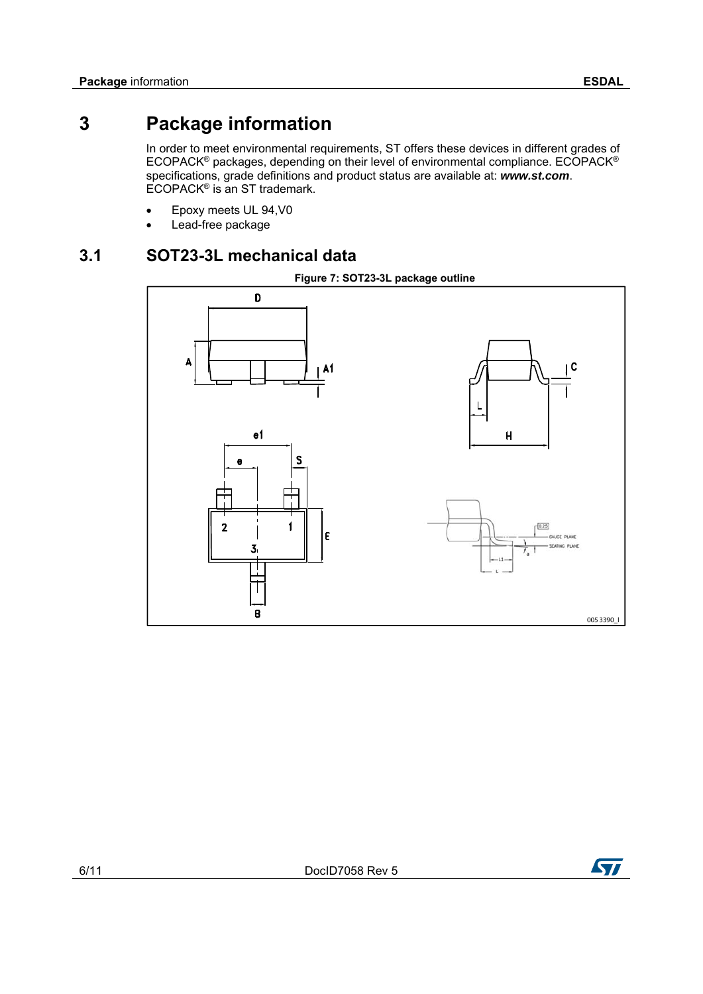## **3 Package information**

In order to meet environmental requirements, ST offers these devices in different grades of ECOPACK® packages, depending on their level of environmental compliance. ECOPACK® specifications, grade definitions and product status are available at: *www.st.com*. ECOPACK<sup>®</sup> is an ST trademark.

- Epoxy meets UL 94,V0
- Lead-free package

### **3.1 SOT23-3L mechanical data**





ST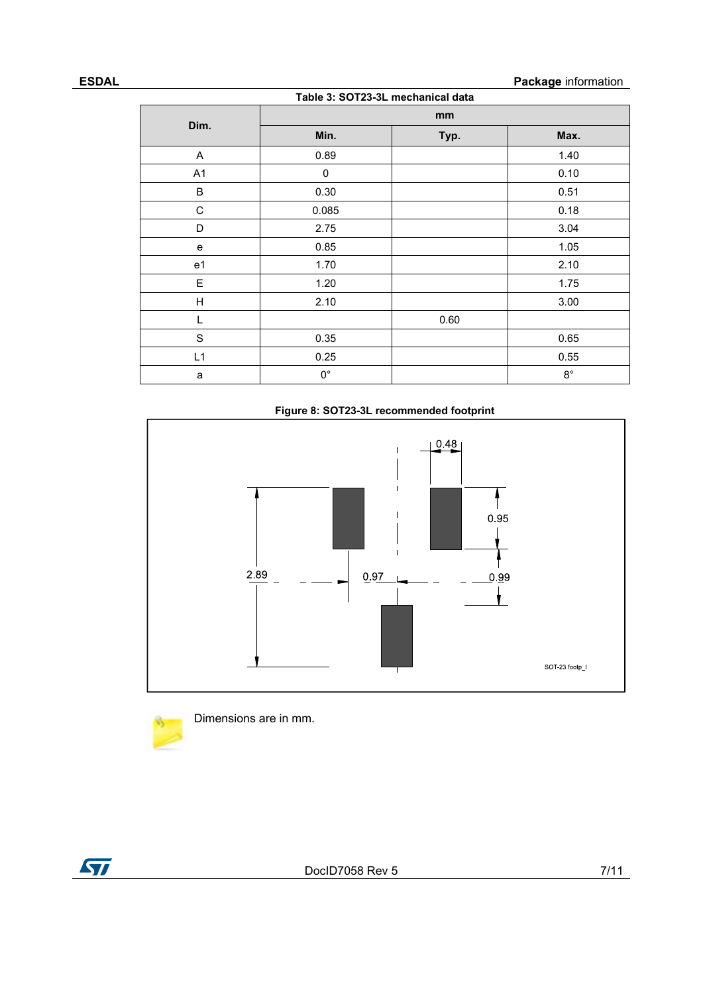#### **ESDAL** Package information

| Table 3: SOT23-3L mechanical data |             |      |             |  |  |  |
|-----------------------------------|-------------|------|-------------|--|--|--|
| Dim.                              | mm          |      |             |  |  |  |
|                                   | Min.        | Typ. | Max.        |  |  |  |
| Α                                 | 0.89        |      | 1.40        |  |  |  |
| A <sub>1</sub>                    | 0           |      | 0.10        |  |  |  |
| B                                 | 0.30        |      | 0.51        |  |  |  |
| C                                 | 0.085       |      | 0.18        |  |  |  |
| D                                 | 2.75        |      | 3.04        |  |  |  |
| e                                 | 0.85        |      | 1.05        |  |  |  |
| e <sub>1</sub>                    | 1.70        |      | 2.10        |  |  |  |
| Е                                 | 1.20        |      | 1.75        |  |  |  |
| H                                 | 2.10        |      | 3.00        |  |  |  |
| L                                 |             | 0.60 |             |  |  |  |
| $\mathbf S$                       | 0.35        |      | 0.65        |  |  |  |
| L1                                | 0.25        |      | 0.55        |  |  |  |
| a                                 | $0^{\circ}$ |      | $8^{\circ}$ |  |  |  |

#### **Figure 8: SOT23-3L recommended footprint**





Dimensions are in mm.

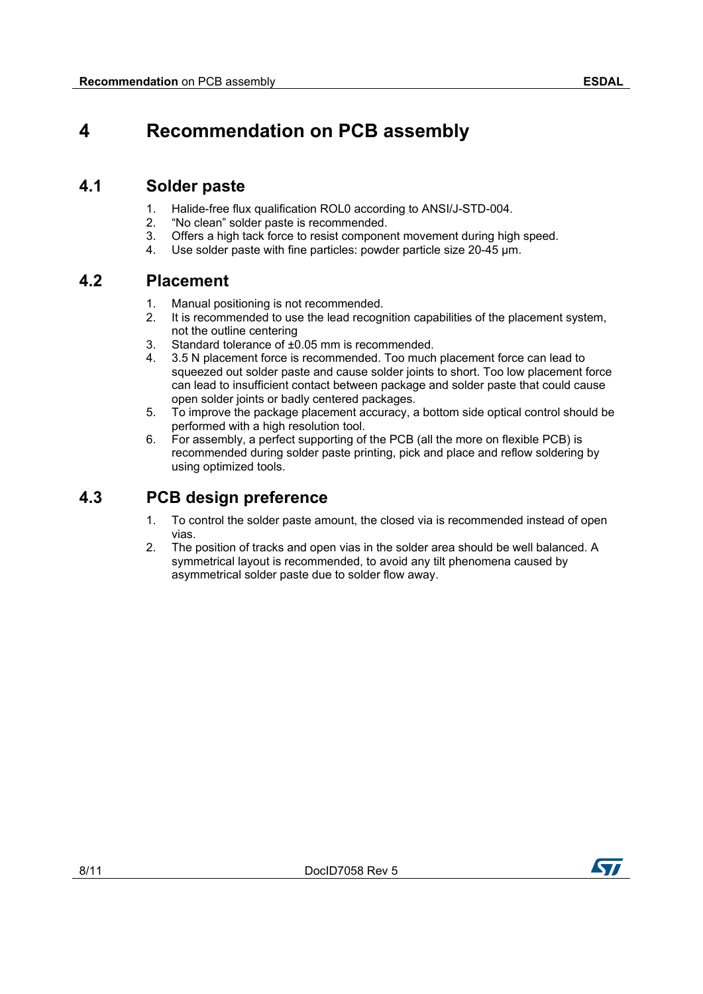## **4 Recommendation on PCB assembly**

### **4.1 Solder paste**

- 1. Halide-free flux qualification ROL0 according to ANSI/J-STD-004.
- 2. "No clean" solder paste is recommended.
- 3. Offers a high tack force to resist component movement during high speed.
- 4. Use solder paste with fine particles: powder particle size 20-45 µm.

### **4.2 Placement**

- 1. Manual positioning is not recommended.
- 2. It is recommended to use the lead recognition capabilities of the placement system, not the outline centering
- 3. Standard tolerance of ±0.05 mm is recommended.
- 4. 3.5 N placement force is recommended. Too much placement force can lead to squeezed out solder paste and cause solder joints to short. Too low placement force can lead to insufficient contact between package and solder paste that could cause open solder joints or badly centered packages.
- 5. To improve the package placement accuracy, a bottom side optical control should be performed with a high resolution tool.
- 6. For assembly, a perfect supporting of the PCB (all the more on flexible PCB) is recommended during solder paste printing, pick and place and reflow soldering by using optimized tools.

### **4.3 PCB design preference**

- 1. To control the solder paste amount, the closed via is recommended instead of open vias.
- 2. The position of tracks and open vias in the solder area should be well balanced. A symmetrical layout is recommended, to avoid any tilt phenomena caused by asymmetrical solder paste due to solder flow away.

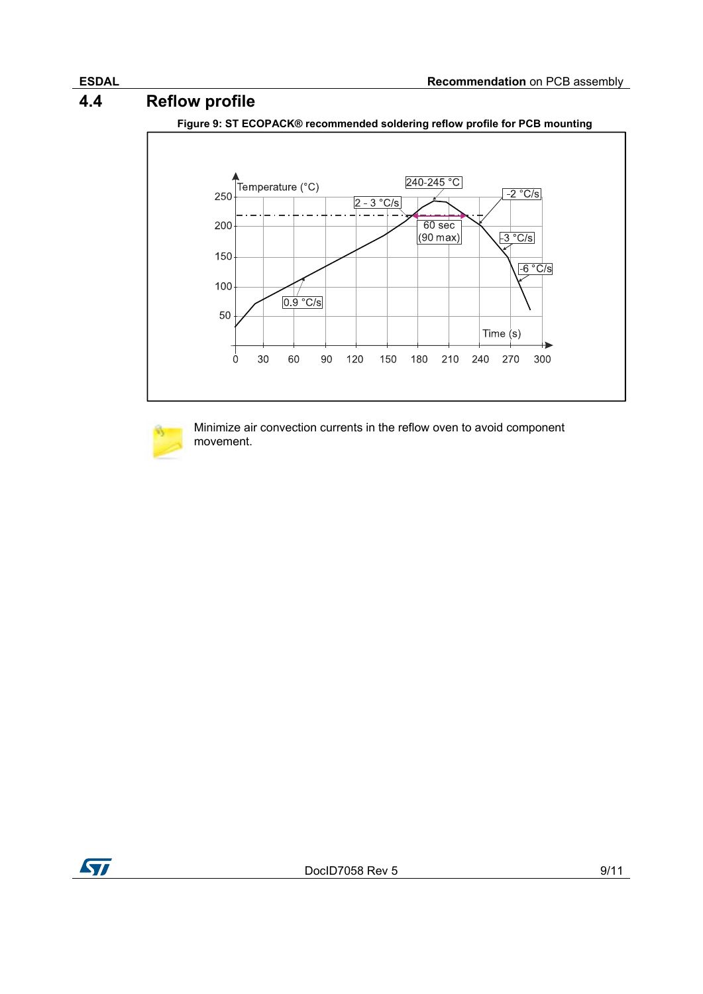### **4.4 Reflow profile**



**Figure 9: ST ECOPACK® recommended soldering reflow profile for PCB mounting** 



Minimize air convection currents in the reflow oven to avoid component movement.

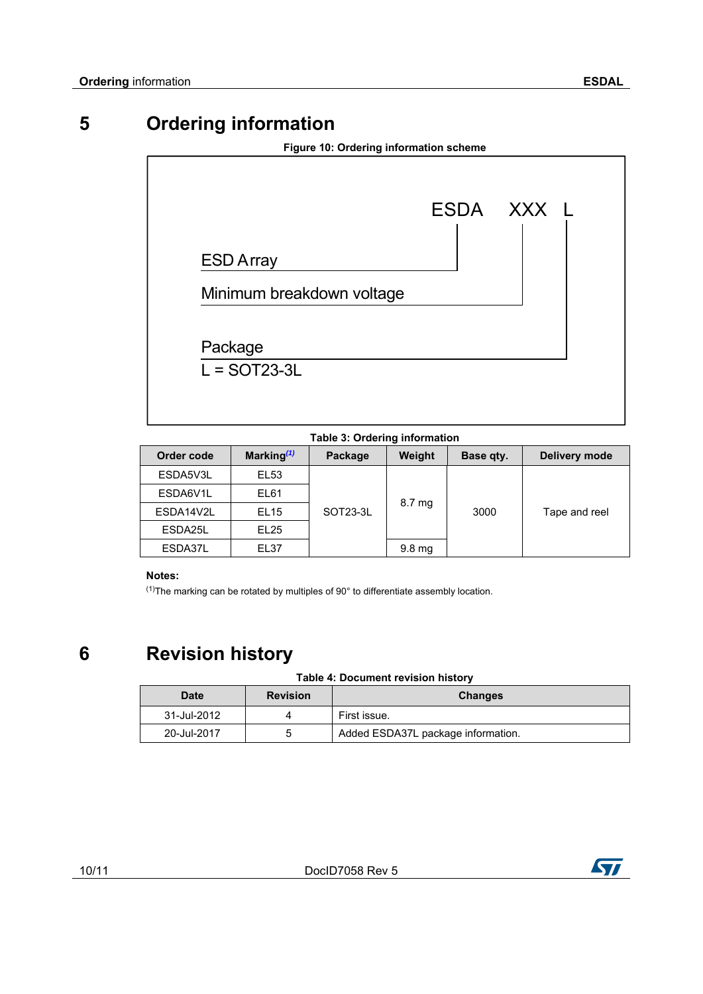## **5 Ordering information**

|                           | ESDA XXX L |
|---------------------------|------------|
| <b>ESD Array</b>          |            |
| Minimum breakdown voltage |            |
| Package                   |            |

**Table 3: Ordering information** 

| Order code | Marking $(1)$    | Package  | Weight           | Base qty. | Delivery mode |
|------------|------------------|----------|------------------|-----------|---------------|
| ESDA5V3L   | EL53             |          |                  |           |               |
| ESDA6V1L   | EL61             | SOT23-3L |                  |           |               |
| ESDA14V2L  | EL <sub>15</sub> |          | 8.7 mg           | 3000      | Tape and reel |
| ESDA25L    | EL <sub>25</sub> |          |                  |           |               |
| ESDA37L    | EL37             |          | $9.8 \text{ mg}$ |           |               |

#### **Notes:**

 $(1)$ The marking can be rotated by multiples of 90 $^{\circ}$  to differentiate assembly location.

## **6 Revision history**

#### **Table 4: Document revision history**

| <b>Date</b> | <b>Revision</b> | <b>Changes</b>                     |
|-------------|-----------------|------------------------------------|
| 31-Jul-2012 |                 | First issue.                       |
| 20-Jul-2017 | 5               | Added ESDA37L package information. |